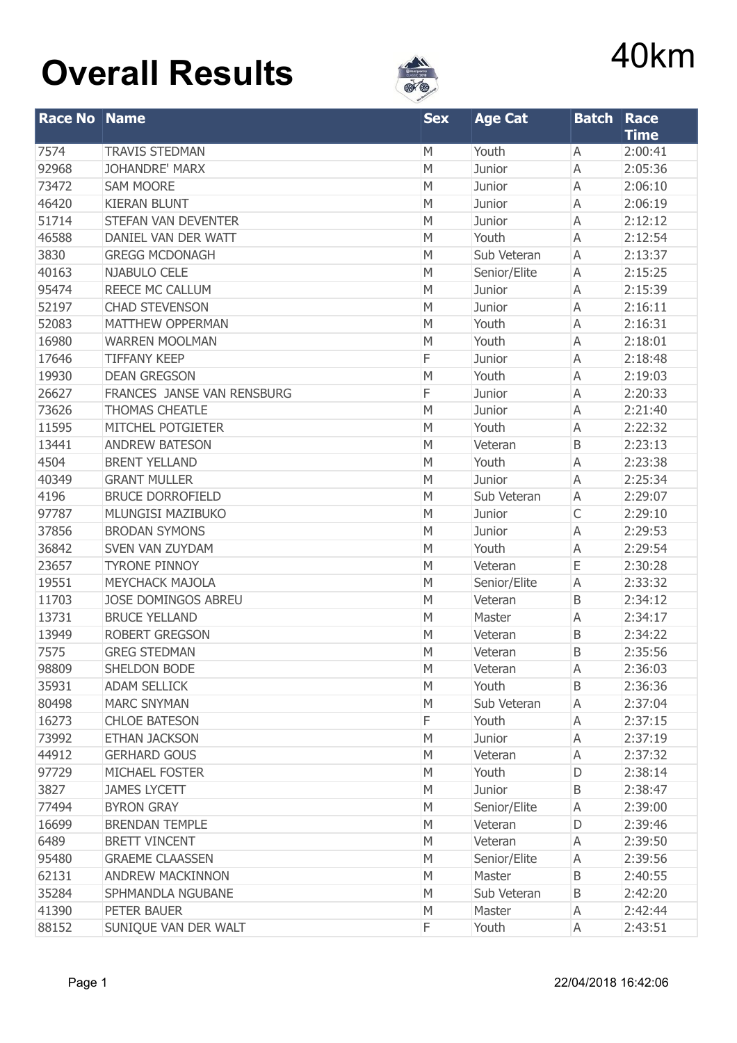

| <b>Race No Name</b> |                            | <b>Sex</b> | <b>Age Cat</b> | <b>Batch Race</b> |                        |
|---------------------|----------------------------|------------|----------------|-------------------|------------------------|
| 7574                | <b>TRAVIS STEDMAN</b>      | М          | Youth          | A                 | <b>Time</b><br>2:00:41 |
| 92968               | <b>JOHANDRE' MARX</b>      | M          | Junior         | Α                 | 2:05:36                |
| 73472               | <b>SAM MOORE</b>           | M          | Junior         | Α                 | 2:06:10                |
| 46420               | <b>KIERAN BLUNT</b>        | M          | Junior         | A                 | 2:06:19                |
| 51714               | STEFAN VAN DEVENTER        | M          | Junior         | Α                 | 2:12:12                |
| 46588               | DANIEL VAN DER WATT        | М          | Youth          | A                 | 2:12:54                |
| 3830                | <b>GREGG MCDONAGH</b>      | М          | Sub Veteran    | A                 | 2:13:37                |
| 40163               | NJABULO CELE               | М          | Senior/Elite   | Α                 | 2:15:25                |
| 95474               | REECE MC CALLUM            | М          | Junior         | Α                 | 2:15:39                |
| 52197               | <b>CHAD STEVENSON</b>      | M          | Junior         | A                 | 2:16:11                |
| 52083               | MATTHEW OPPERMAN           | M          | Youth          | A                 | 2:16:31                |
| 16980               | <b>WARREN MOOLMAN</b>      | М          | Youth          | A                 | 2:18:01                |
| 17646               | <b>TIFFANY KEEP</b>        | F          | Junior         | A                 | 2:18:48                |
| 19930               | <b>DEAN GREGSON</b>        | M          | Youth          | A                 | 2:19:03                |
| 26627               | FRANCES JANSE VAN RENSBURG | F          | Junior         | Α                 | 2:20:33                |
| 73626               | <b>THOMAS CHEATLE</b>      | М          | Junior         | A                 | 2:21:40                |
| 11595               | MITCHEL POTGIETER          | M          | Youth          | A                 | 2:22:32                |
| 13441               | <b>ANDREW BATESON</b>      | М          | Veteran        | B                 | 2:23:13                |
| 4504                | <b>BRENT YELLAND</b>       | М          | Youth          | A                 | 2:23:38                |
| 40349               | <b>GRANT MULLER</b>        | М          | Junior         | A                 | 2:25:34                |
| 4196                | <b>BRUCE DORROFIELD</b>    | M          | Sub Veteran    | Α                 | 2:29:07                |
| 97787               | MLUNGISI MAZIBUKO          | M          | Junior         | $\mathsf C$       | 2:29:10                |
| 37856               | <b>BRODAN SYMONS</b>       | M          | Junior         | A                 | 2:29:53                |
| 36842               | <b>SVEN VAN ZUYDAM</b>     | M          | Youth          | A                 | 2:29:54                |
| 23657               | <b>TYRONE PINNOY</b>       | M          | Veteran        | Ε                 | 2:30:28                |
| 19551               | <b>MEYCHACK MAJOLA</b>     | М          | Senior/Elite   | A                 | 2:33:32                |
| 11703               | <b>JOSE DOMINGOS ABREU</b> | M          | Veteran        | B                 | 2:34:12                |
| 13731               | <b>BRUCE YELLAND</b>       | M          | Master         | Α                 | 2:34:17                |
| 13949               | ROBERT GREGSON             | M          | Veteran        | B                 | 2:34:22                |
| 7575                | <b>GREG STEDMAN</b>        | M          | Veteran        | B                 | 2:35:56                |
| 98809               | <b>SHELDON BODE</b>        | M          | Veteran        | Α                 | 2:36:03                |
| 35931               | <b>ADAM SELLICK</b>        | М          | Youth          | B                 | 2:36:36                |
| 80498               | <b>MARC SNYMAN</b>         | М          | Sub Veteran    | Α                 | 2:37:04                |
| 16273               | <b>CHLOE BATESON</b>       | F          | Youth          | Α                 | 2:37:15                |
| 73992               | <b>ETHAN JACKSON</b>       | M          | Junior         | A                 | 2:37:19                |
| 44912               | <b>GERHARD GOUS</b>        | М          | Veteran        | Α                 | 2:37:32                |
| 97729               | MICHAEL FOSTER             | М          | Youth          | D                 | 2:38:14                |
| 3827                | <b>JAMES LYCETT</b>        | М          | Junior         | B                 | 2:38:47                |
| 77494               | <b>BYRON GRAY</b>          | М          | Senior/Elite   | Α                 | 2:39:00                |
| 16699               | <b>BRENDAN TEMPLE</b>      | М          | Veteran        | D                 | 2:39:46                |
| 6489                | <b>BRETT VINCENT</b>       | М          | Veteran        | Α                 | 2:39:50                |
| 95480               | <b>GRAEME CLAASSEN</b>     | М          | Senior/Elite   | Α                 | 2:39:56                |
| 62131               | <b>ANDREW MACKINNON</b>    | М          | Master         | B                 | 2:40:55                |
| 35284               | SPHMANDLA NGUBANE          | М          | Sub Veteran    | B                 | 2:42:20                |
| 41390               | PETER BAUER                | М          | Master         | A                 | 2:42:44                |
|                     |                            |            |                |                   |                        |
| 88152               | SUNIQUE VAN DER WALT       | F          | Youth          | A                 | 2:43:51                |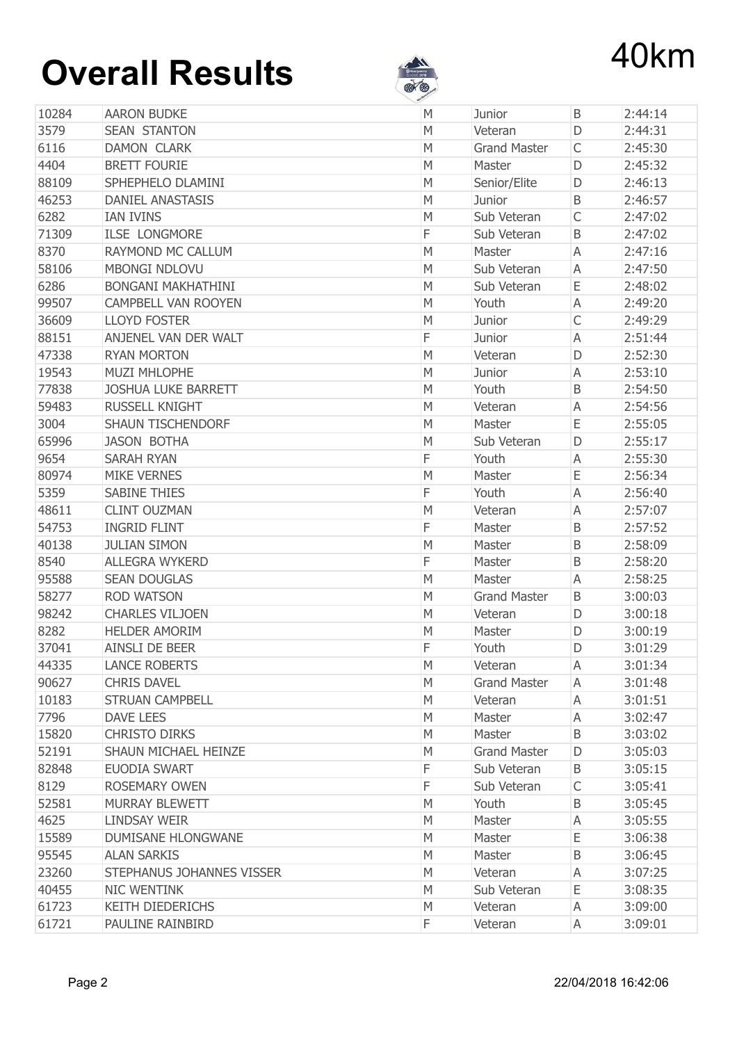

|       |                            | <b>All Contracts</b> |                     |              |         |
|-------|----------------------------|----------------------|---------------------|--------------|---------|
| 10284 | <b>AARON BUDKE</b>         | M                    | Junior              | B            | 2:44:14 |
| 3579  | <b>SEAN STANTON</b>        | M                    | Veteran             | D            | 2:44:31 |
| 6116  | <b>DAMON CLARK</b>         | M                    | <b>Grand Master</b> | $\mathsf{C}$ | 2:45:30 |
| 4404  | <b>BRETT FOURIE</b>        | M                    | Master              | D            | 2:45:32 |
| 88109 | SPHEPHELO DLAMINI          | M                    | Senior/Elite        | D            | 2:46:13 |
| 46253 | <b>DANIEL ANASTASIS</b>    | M                    | Junior              | B            | 2:46:57 |
| 6282  | <b>IAN IVINS</b>           | M                    | Sub Veteran         | $\mathsf{C}$ | 2:47:02 |
| 71309 | <b>ILSE LONGMORE</b>       | F                    | Sub Veteran         | B            | 2:47:02 |
| 8370  | RAYMOND MC CALLUM          | M                    | Master              | A            | 2:47:16 |
| 58106 | <b>MBONGI NDLOVU</b>       | M                    | Sub Veteran         | Α            | 2:47:50 |
| 6286  | <b>BONGANI MAKHATHINI</b>  | M                    | Sub Veteran         | Ε            | 2:48:02 |
| 99507 | <b>CAMPBELL VAN ROOYEN</b> | M                    | Youth               | A            | 2:49:20 |
| 36609 | <b>LLOYD FOSTER</b>        | M                    | Junior              | $\mathsf{C}$ | 2:49:29 |
| 88151 | ANJENEL VAN DER WALT       | F                    | Junior              | A            | 2:51:44 |
| 47338 | <b>RYAN MORTON</b>         | M                    | Veteran             | D            | 2:52:30 |
| 19543 | <b>MUZI MHLOPHE</b>        | M                    | Junior              | Α            | 2:53:10 |
| 77838 | <b>JOSHUA LUKE BARRETT</b> | M                    | Youth               | B            | 2:54:50 |
| 59483 | <b>RUSSELL KNIGHT</b>      | M                    | Veteran             | Α            | 2:54:56 |
| 3004  | <b>SHAUN TISCHENDORF</b>   | M                    | Master              | Ε            | 2:55:05 |
| 65996 | <b>JASON BOTHA</b>         | M                    | Sub Veteran         | D            | 2:55:17 |
| 9654  | <b>SARAH RYAN</b>          | F                    | Youth               | A            | 2:55:30 |
| 80974 | <b>MIKE VERNES</b>         | M                    | Master              | E            | 2:56:34 |
| 5359  | <b>SABINE THIES</b>        | F                    | Youth               | A            | 2:56:40 |
| 48611 | <b>CLINT OUZMAN</b>        | M                    | Veteran             | A            | 2:57:07 |
| 54753 | <b>INGRID FLINT</b>        | F                    | Master              | B            | 2:57:52 |
| 40138 | <b>JULIAN SIMON</b>        | M                    | Master              | B            | 2:58:09 |
| 8540  | <b>ALLEGRA WYKERD</b>      | F                    | Master              | B            | 2:58:20 |
| 95588 | <b>SEAN DOUGLAS</b>        | M                    | Master              | Α            | 2:58:25 |
| 58277 | <b>ROD WATSON</b>          | M                    | <b>Grand Master</b> | B            | 3:00:03 |
| 98242 | <b>CHARLES VILJOEN</b>     | M                    | Veteran             | D            | 3:00:18 |
| 8282  | <b>HELDER AMORIM</b>       | M                    | Master              | D            | 3:00:19 |
| 37041 | <b>AINSLI DE BEER</b>      | F                    | Youth               | D            | 3:01:29 |
| 44335 | <b>LANCE ROBERTS</b>       | M                    | Veteran             | A            | 3:01:34 |
| 90627 | <b>CHRIS DAVEL</b>         | М                    | <b>Grand Master</b> | A            | 3:01:48 |
| 10183 | <b>STRUAN CAMPBELL</b>     | М                    | Veteran             | A            | 3:01:51 |
| 7796  | <b>DAVE LEES</b>           | М                    | Master              | Α            | 3:02:47 |
| 15820 | <b>CHRISTO DIRKS</b>       | M                    | Master              | B            | 3:03:02 |
| 52191 | SHAUN MICHAEL HEINZE       | M                    | <b>Grand Master</b> | D            | 3:05:03 |
| 82848 | EUODIA SWART               | F                    | Sub Veteran         | Β            | 3:05:15 |
| 8129  | ROSEMARY OWEN              | F                    | Sub Veteran         | C            | 3:05:41 |
| 52581 | MURRAY BLEWETT             | M                    | Youth               | B            | 3:05:45 |
| 4625  | <b>LINDSAY WEIR</b>        | M                    | Master              | Α            | 3:05:55 |
| 15589 | <b>DUMISANE HLONGWANE</b>  | М                    | Master              | Е            | 3:06:38 |
| 95545 | <b>ALAN SARKIS</b>         | М                    | Master              | B            | 3:06:45 |
| 23260 | STEPHANUS JOHANNES VISSER  | M                    | Veteran             | Α            | 3:07:25 |
| 40455 | NIC WENTINK                | М                    | Sub Veteran         | Е            | 3:08:35 |
| 61723 | <b>KEITH DIEDERICHS</b>    | M                    | Veteran             | Α            | 3:09:00 |
| 61721 | PAULINE RAINBIRD           | F                    | Veteran             | Α            | 3:09:01 |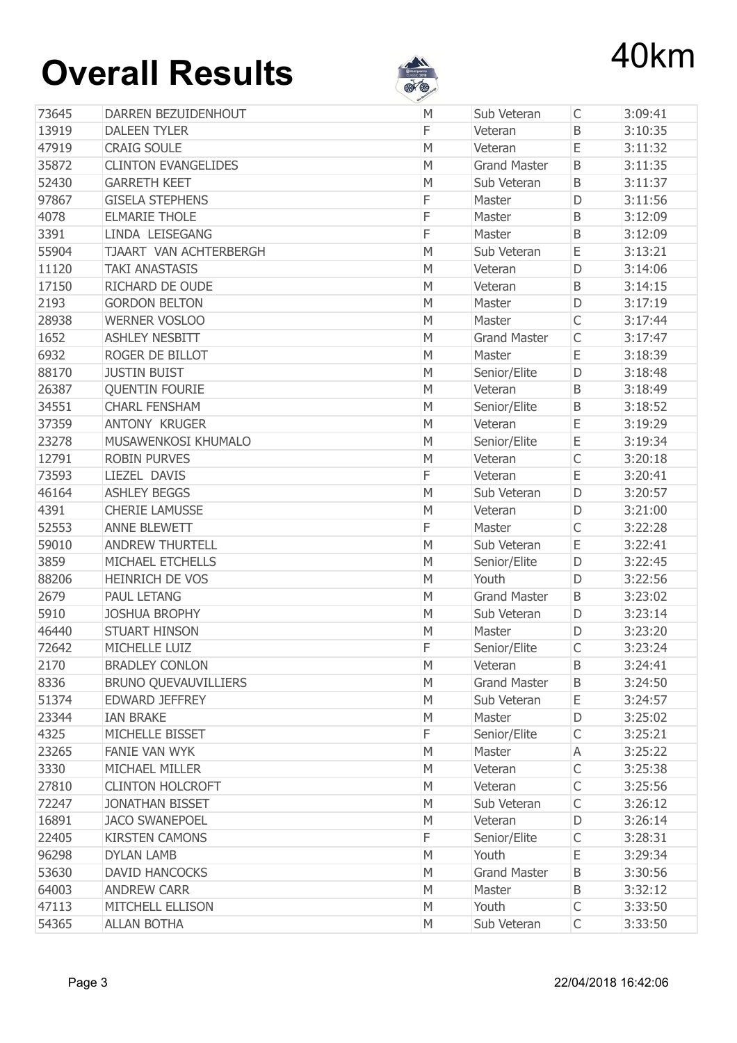

| 73645 | DARREN BEZUIDENHOUT         | v<br>M | Sub Veteran             | $\mathsf{C}$ | 3:09:41 |
|-------|-----------------------------|--------|-------------------------|--------------|---------|
| 13919 | <b>DALEEN TYLER</b>         | F      | Veteran                 | B            | 3:10:35 |
| 47919 | <b>CRAIG SOULE</b>          | M      | Veteran                 | Ε            | 3:11:32 |
| 35872 | <b>CLINTON EVANGELIDES</b>  | M      | <b>Grand Master</b>     | B            | 3:11:35 |
| 52430 | <b>GARRETH KEET</b>         | M      | Sub Veteran             | B            | 3:11:37 |
| 97867 | <b>GISELA STEPHENS</b>      | F      | Master                  | D            | 3:11:56 |
| 4078  | <b>ELMARIE THOLE</b>        | F      | Master                  | B            | 3:12:09 |
| 3391  | LINDA LEISEGANG             | F      | Master                  | B            | 3:12:09 |
| 55904 | TJAART VAN ACHTERBERGH      | M      | Sub Veteran             | E            | 3:13:21 |
| 11120 | <b>TAKI ANASTASIS</b>       | M      | Veteran                 | D            | 3:14:06 |
| 17150 | RICHARD DE OUDE             | M      | Veteran                 | B            | 3:14:15 |
| 2193  | <b>GORDON BELTON</b>        | M      | Master                  | D            | 3:17:19 |
| 28938 | <b>WERNER VOSLOO</b>        | M      | Master                  | $\mathsf{C}$ | 3:17:44 |
| 1652  | <b>ASHLEY NESBITT</b>       | M      | <b>Grand Master</b>     | $\mathsf C$  | 3:17:47 |
| 6932  | ROGER DE BILLOT             | M      | Master                  | E            | 3:18:39 |
| 88170 | <b>JUSTIN BUIST</b>         | M      |                         | D            | 3:18:48 |
| 26387 | <b>QUENTIN FOURIE</b>       | M      | Senior/Elite<br>Veteran | B            | 3:18:49 |
| 34551 | <b>CHARL FENSHAM</b>        | M      |                         | $\sf B$      | 3:18:52 |
|       | <b>ANTONY KRUGER</b>        |        | Senior/Elite            | E            |         |
| 37359 |                             | M      | Veteran                 |              | 3:19:29 |
| 23278 | MUSAWENKOSI KHUMALO         | M      | Senior/Elite            | E            | 3:19:34 |
| 12791 | <b>ROBIN PURVES</b>         | M      | Veteran                 | $\mathsf{C}$ | 3:20:18 |
| 73593 | LIEZEL DAVIS                | F      | Veteran                 | E            | 3:20:41 |
| 46164 | <b>ASHLEY BEGGS</b>         | M      | Sub Veteran             | D            | 3:20:57 |
| 4391  | <b>CHERIE LAMUSSE</b>       | M      | Veteran                 | D            | 3:21:00 |
| 52553 | <b>ANNE BLEWETT</b>         | F      | Master                  | $\mathsf C$  | 3:22:28 |
| 59010 | <b>ANDREW THURTELL</b>      | M      | Sub Veteran             | Ε            | 3:22:41 |
| 3859  | MICHAEL ETCHELLS            | M      | Senior/Elite            | D            | 3:22:45 |
| 88206 | <b>HEINRICH DE VOS</b>      | M      | Youth                   | D            | 3:22:56 |
| 2679  | <b>PAUL LETANG</b>          | M      | <b>Grand Master</b>     | B            | 3:23:02 |
| 5910  | <b>JOSHUA BROPHY</b>        | M      | Sub Veteran             | D            | 3:23:14 |
| 46440 | <b>STUART HINSON</b>        | M      | Master                  | D            | 3:23:20 |
| 72642 | <b>MICHELLE LUIZ</b>        | F      | Senior/Elite            |              | 3:23:24 |
| 2170  | <b>BRADLEY CONLON</b>       | M      | Veteran                 | B            | 3:24:41 |
| 8336  | <b>BRUNO QUEVAUVILLIERS</b> | М      | <b>Grand Master</b>     | B            | 3:24:50 |
| 51374 | EDWARD JEFFREY              | М      | Sub Veteran             | Ε            | 3:24:57 |
| 23344 | <b>IAN BRAKE</b>            | M      | Master                  | D            | 3:25:02 |
| 4325  | MICHELLE BISSET             | F      | Senior/Elite            | C            | 3:25:21 |
| 23265 | <b>FANIE VAN WYK</b>        | M      | Master                  | Α            | 3:25:22 |
| 3330  | MICHAEL MILLER              | М      | Veteran                 | C            | 3:25:38 |
| 27810 | <b>CLINTON HOLCROFT</b>     | М      | Veteran                 | $\mathsf C$  | 3:25:56 |
| 72247 | <b>JONATHAN BISSET</b>      | М      | Sub Veteran             | $\mathsf{C}$ | 3:26:12 |
| 16891 | <b>JACO SWANEPOEL</b>       | M      | Veteran                 | D            | 3:26:14 |
| 22405 | <b>KIRSTEN CAMONS</b>       | F      | Senior/Elite            | $\mathsf C$  | 3:28:31 |
| 96298 | <b>DYLAN LAMB</b>           | M      | Youth                   | Ε            | 3:29:34 |
| 53630 | <b>DAVID HANCOCKS</b>       | M      | <b>Grand Master</b>     | B            | 3:30:56 |
| 64003 | <b>ANDREW CARR</b>          | M      | Master                  | B            | 3:32:12 |
| 47113 | MITCHELL ELLISON            | M      | Youth                   | C            | 3:33:50 |
| 54365 | <b>ALLAN BOTHA</b>          | М      | Sub Veteran             | $\mathsf{C}$ | 3:33:50 |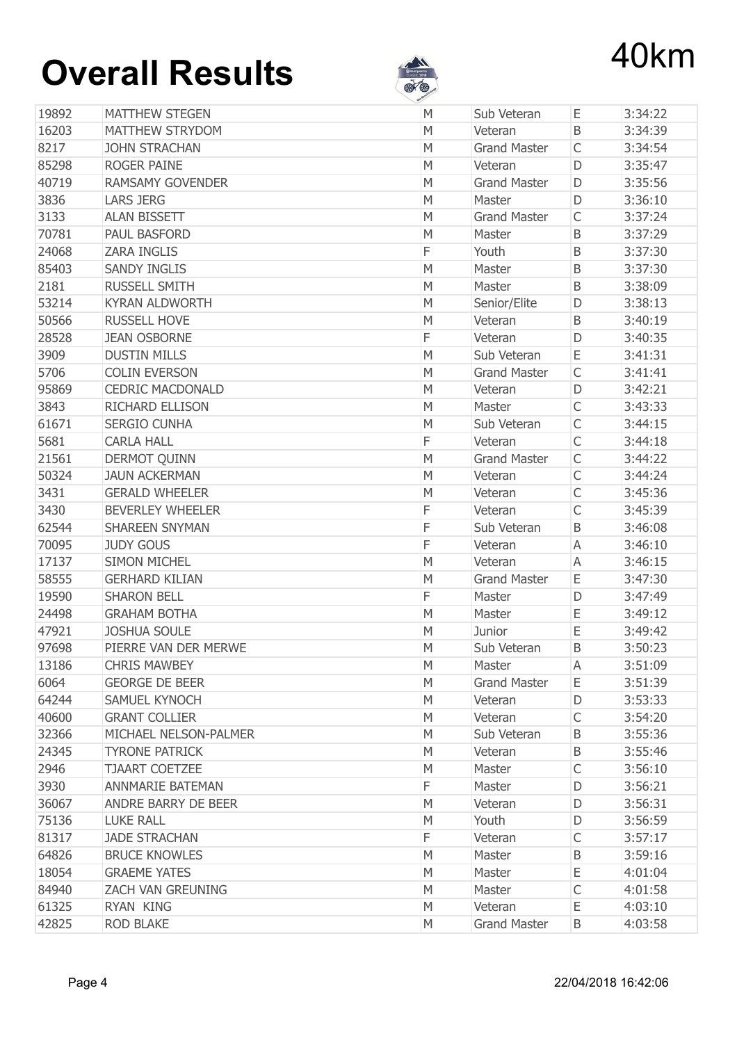

| 19892<br><b>MATTHEW STEGEN</b><br>Ε<br>M<br>Sub Veteran<br>16203<br><b>MATTHEW STRYDOM</b><br>M<br>B<br>Veteran | 3:34:22 |
|-----------------------------------------------------------------------------------------------------------------|---------|
|                                                                                                                 |         |
|                                                                                                                 | 3:34:39 |
| 8217<br><b>JOHN STRACHAN</b><br>M<br><b>Grand Master</b><br>C                                                   | 3:34:54 |
| 85298<br><b>ROGER PAINE</b><br>D<br>M<br>Veteran                                                                | 3:35:47 |
| 40719<br><b>RAMSAMY GOVENDER</b><br><b>Grand Master</b><br>M<br>D                                               | 3:35:56 |
| 3836<br><b>LARS JERG</b><br>M<br>D<br>Master                                                                    | 3:36:10 |
| $\mathsf{C}$<br>3133<br><b>ALAN BISSETT</b><br>M<br><b>Grand Master</b>                                         | 3:37:24 |
| 70781<br><b>PAUL BASFORD</b><br>B<br>M<br>Master                                                                | 3:37:29 |
| 24068<br>F<br><b>ZARA INGLIS</b><br>Youth<br>B                                                                  | 3:37:30 |
| 85403<br><b>SANDY INGLIS</b><br>M<br>Master<br>B                                                                | 3:37:30 |
| 2181<br><b>RUSSELL SMITH</b><br>B<br>M<br>Master                                                                | 3:38:09 |
| 53214<br><b>KYRAN ALDWORTH</b><br>M<br>Senior/Elite<br>D                                                        | 3:38:13 |
| 50566<br><b>RUSSELL HOVE</b><br>B<br>M<br>Veteran                                                               | 3:40:19 |
| 28528<br><b>JEAN OSBORNE</b><br>F<br>Veteran<br>D                                                               | 3:40:35 |
| 3909<br><b>DUSTIN MILLS</b><br>Ε<br>M<br>Sub Veteran                                                            | 3:41:31 |
| C<br>5706<br><b>COLIN EVERSON</b><br>M<br><b>Grand Master</b>                                                   | 3:41:41 |
| 95869<br><b>CEDRIC MACDONALD</b><br>M<br>Veteran<br>D                                                           | 3:42:21 |
| $\mathsf{C}$<br>3843<br><b>RICHARD ELLISON</b><br>M<br>Master                                                   | 3:43:33 |
| 61671<br>C<br><b>SERGIO CUNHA</b><br>М<br>Sub Veteran                                                           | 3:44:15 |
| 5681<br>F<br>$\mathsf{C}$<br><b>CARLA HALL</b><br>Veteran                                                       | 3:44:18 |
| $\mathsf{C}$<br>21561<br><b>DERMOT QUINN</b><br>M<br><b>Grand Master</b>                                        | 3:44:22 |
| $\mathsf C$<br>50324<br><b>JAUN ACKERMAN</b><br>M<br>Veteran                                                    | 3:44:24 |
| 3431<br><b>GERALD WHEELER</b><br>$\mathsf{C}$<br>M<br>Veteran                                                   | 3:45:36 |
| $\mathsf{C}$<br>F<br>3430<br><b>BEVERLEY WHEELER</b><br>Veteran                                                 | 3:45:39 |
| F<br>62544<br><b>SHAREEN SNYMAN</b><br>B<br>Sub Veteran                                                         | 3:46:08 |
| F<br>70095<br><b>JUDY GOUS</b><br>A<br>Veteran                                                                  | 3:46:10 |
| 17137<br><b>SIMON MICHEL</b><br>M<br>A<br>Veteran                                                               | 3:46:15 |
| <b>GERHARD KILIAN</b><br>58555<br>M<br><b>Grand Master</b><br>Ε                                                 | 3:47:30 |
| 19590<br><b>SHARON BELL</b><br>F<br>Master<br>D                                                                 | 3:47:49 |
| Ε<br>24498<br><b>GRAHAM BOTHA</b><br>M<br>Master                                                                | 3:49:12 |
| 47921<br><b>JOSHUA SOULE</b><br>Ε<br>M<br>Junior                                                                | 3:49:42 |
| 97698<br>PIERRE VAN DER MERWE<br>М<br>B<br>Sub Veteran                                                          | 3:50:23 |
| 13186<br><b>CHRIS MAWBEY</b><br>M<br>Master<br>A                                                                | 3:51:09 |
| 6064<br><b>GEORGE DE BEER</b><br>M<br><b>Grand Master</b><br>Ε                                                  | 3:51:39 |
| 64244<br>SAMUEL KYNOCH<br>D<br>М<br>Veteran                                                                     | 3:53:33 |
| 40600<br>$\mathsf{C}$<br><b>GRANT COLLIER</b><br>Veteran<br>М                                                   | 3:54:20 |
| 32366<br>MICHAEL NELSON-PALMER<br>М<br>Sub Veteran<br>B                                                         | 3:55:36 |
| 24345<br><b>TYRONE PATRICK</b><br>M<br>Veteran<br>B                                                             | 3:55:46 |
| 2946<br><b>TJAART COETZEE</b><br>C<br>M<br>Master                                                               | 3:56:10 |
| 3930<br>F<br><b>ANNMARIE BATEMAN</b><br>Master<br>D                                                             | 3:56:21 |
| 36067<br>ANDRE BARRY DE BEER<br>M<br>Veteran<br>D                                                               | 3:56:31 |
| 75136<br><b>LUKE RALL</b><br>Youth<br>M<br>D                                                                    | 3:56:59 |
| F<br>81317<br><b>JADE STRACHAN</b><br>C<br>Veteran                                                              | 3:57:17 |
| 64826<br><b>BRUCE KNOWLES</b><br>M<br>Master<br>B                                                               | 3:59:16 |
| 18054<br><b>GRAEME YATES</b><br>Ε<br>М<br>Master                                                                | 4:01:04 |
| 84940<br>$\mathsf{C}$<br><b>ZACH VAN GREUNING</b><br>М<br>Master                                                | 4:01:58 |
| 61325<br>RYAN KING<br>Ε<br>M<br>Veteran                                                                         | 4:03:10 |
| 42825<br><b>ROD BLAKE</b><br><b>Grand Master</b><br>М<br>B                                                      | 4:03:58 |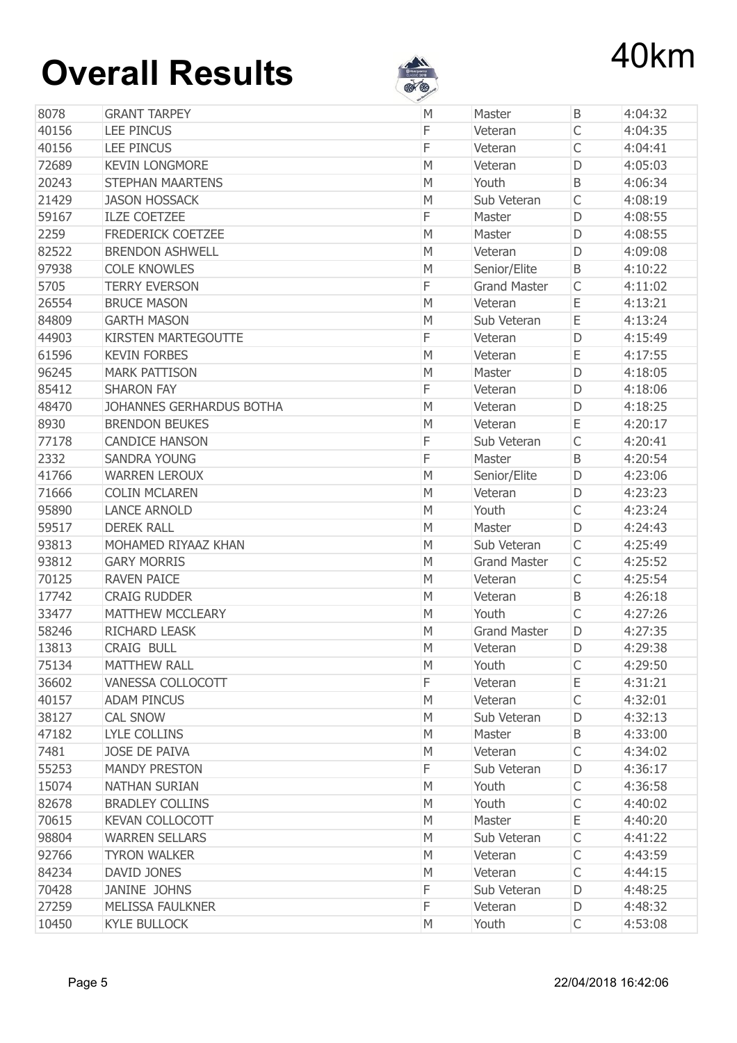

|       |                            | <b>All Contracts</b> |                     |              |         |
|-------|----------------------------|----------------------|---------------------|--------------|---------|
| 8078  | <b>GRANT TARPEY</b>        | M                    | Master              | B            | 4:04:32 |
| 40156 | <b>LEE PINCUS</b>          | F                    | Veteran             | $\mathsf{C}$ | 4:04:35 |
| 40156 | <b>LEE PINCUS</b>          | F                    | Veteran             | $\mathsf{C}$ | 4:04:41 |
| 72689 | <b>KEVIN LONGMORE</b>      | M                    | Veteran             | D            | 4:05:03 |
| 20243 | <b>STEPHAN MAARTENS</b>    | M                    | Youth               | $\mathsf B$  | 4:06:34 |
| 21429 | <b>JASON HOSSACK</b>       | M                    | Sub Veteran         | $\mathsf{C}$ | 4:08:19 |
| 59167 | <b>ILZE COETZEE</b>        | F                    | Master              | D            | 4:08:55 |
| 2259  | <b>FREDERICK COETZEE</b>   | M                    | Master              | D            | 4:08:55 |
| 82522 | <b>BRENDON ASHWELL</b>     | M                    | Veteran             | D            | 4:09:08 |
| 97938 | <b>COLE KNOWLES</b>        | M                    | Senior/Elite        | B            | 4:10:22 |
| 5705  | <b>TERRY EVERSON</b>       | F                    | <b>Grand Master</b> | $\mathsf{C}$ | 4:11:02 |
| 26554 | <b>BRUCE MASON</b>         | M                    | Veteran             | Ε            | 4:13:21 |
| 84809 | <b>GARTH MASON</b>         | M                    | Sub Veteran         | Ε            | 4:13:24 |
| 44903 | <b>KIRSTEN MARTEGOUTTE</b> | F                    | Veteran             | D            | 4:15:49 |
| 61596 | <b>KEVIN FORBES</b>        | M                    | Veteran             | Ε            | 4:17:55 |
| 96245 | <b>MARK PATTISON</b>       | M                    | Master              | D            | 4:18:05 |
| 85412 | <b>SHARON FAY</b>          | F                    | Veteran             | D            | 4:18:06 |
| 48470 | JOHANNES GERHARDUS BOTHA   | M                    | Veteran             | D            | 4:18:25 |
| 8930  | <b>BRENDON BEUKES</b>      | M                    | Veteran             | Ε            | 4:20:17 |
| 77178 | <b>CANDICE HANSON</b>      | F                    | Sub Veteran         | $\mathsf{C}$ | 4:20:41 |
| 2332  | <b>SANDRA YOUNG</b>        | F                    | Master              | B            | 4:20:54 |
| 41766 | <b>WARREN LEROUX</b>       | M                    | Senior/Elite        | D            | 4:23:06 |
| 71666 | <b>COLIN MCLAREN</b>       | M                    | Veteran             | D            | 4:23:23 |
| 95890 | <b>LANCE ARNOLD</b>        | M                    | Youth               | $\mathsf{C}$ | 4:23:24 |
| 59517 | <b>DEREK RALL</b>          | M                    | Master              | D            | 4:24:43 |
| 93813 | MOHAMED RIYAAZ KHAN        | M                    | Sub Veteran         | $\mathsf{C}$ | 4:25:49 |
| 93812 | <b>GARY MORRIS</b>         | M                    | <b>Grand Master</b> | $\mathsf{C}$ | 4:25:52 |
| 70125 | <b>RAVEN PAICE</b>         | M                    | Veteran             | $\mathsf{C}$ | 4:25:54 |
| 17742 | <b>CRAIG RUDDER</b>        | М                    | Veteran             | B            | 4:26:18 |
| 33477 | <b>MATTHEW MCCLEARY</b>    | M                    | Youth               | $\mathsf{C}$ | 4:27:26 |
| 58246 | <b>RICHARD LEASK</b>       | M                    | <b>Grand Master</b> | D            | 4:27:35 |
| 13813 | <b>CRAIG BULL</b>          | M                    | Veteran             | D            | 4:29:38 |
| 75134 | <b>MATTHEW RALL</b>        | M                    | Youth               | $\mathsf{C}$ | 4:29:50 |
| 36602 | VANESSA COLLOCOTT          | F                    | Veteran             | Ε            | 4:31:21 |
| 40157 | <b>ADAM PINCUS</b>         | M                    | Veteran             | C            | 4:32:01 |
| 38127 | <b>CAL SNOW</b>            | М                    | Sub Veteran         | D            | 4:32:13 |
| 47182 | LYLE COLLINS               | М                    | Master              | B            | 4:33:00 |
| 7481  | <b>JOSE DE PAIVA</b>       | M                    | Veteran             | C            | 4:34:02 |
| 55253 | <b>MANDY PRESTON</b>       | F                    | Sub Veteran         | D            | 4:36:17 |
| 15074 | <b>NATHAN SURIAN</b>       | M                    | Youth               | С            | 4:36:58 |
| 82678 | <b>BRADLEY COLLINS</b>     | M                    | Youth               | C            | 4:40:02 |
| 70615 | <b>KEVAN COLLOCOTT</b>     | M                    | Master              | Ε            | 4:40:20 |
| 98804 | <b>WARREN SELLARS</b>      | М                    | Sub Veteran         | $\mathsf{C}$ | 4:41:22 |
| 92766 | <b>TYRON WALKER</b>        | M                    | Veteran             | C            | 4:43:59 |
| 84234 | DAVID JONES                | M                    | Veteran             | $\mathsf{C}$ | 4:44:15 |
| 70428 | JANINE JOHNS               | F                    | Sub Veteran         | D            | 4:48:25 |
| 27259 | <b>MELISSA FAULKNER</b>    | F                    | Veteran             | D            | 4:48:32 |
| 10450 | <b>KYLE BULLOCK</b>        | М                    | Youth               | C            | 4:53:08 |
|       |                            |                      |                     |              |         |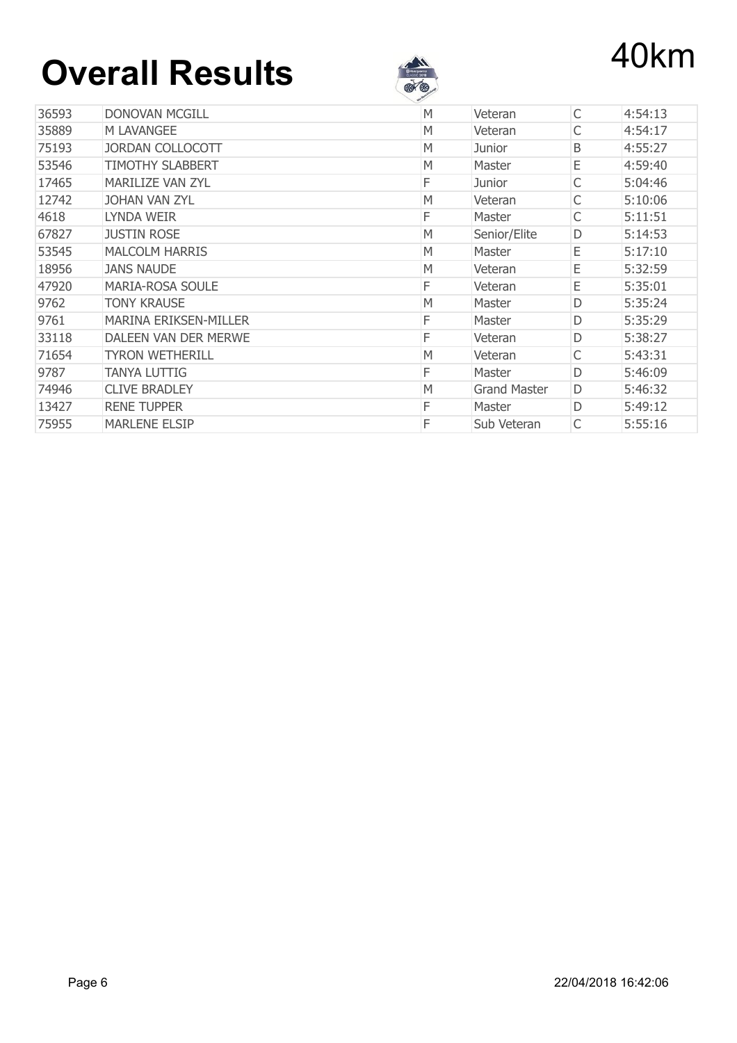

| 36593 | <b>DONOVAN MCGILL</b>        | M | Veteran             | C | 4:54:13 |
|-------|------------------------------|---|---------------------|---|---------|
| 35889 | M LAVANGEE                   | M | Veteran             | С | 4:54:17 |
| 75193 | <b>JORDAN COLLOCOTT</b>      | M | Junior              | Β | 4:55:27 |
| 53546 | <b>TIMOTHY SLABBERT</b>      | M | Master              | Ε | 4:59:40 |
| 17465 | <b>MARILIZE VAN ZYL</b>      | F | Junior              | С | 5:04:46 |
| 12742 | <b>JOHAN VAN ZYL</b>         | M | Veteran             | С | 5:10:06 |
| 4618  | LYNDA WEIR                   | F | Master              | С | 5:11:51 |
| 67827 | <b>JUSTIN ROSE</b>           | M | Senior/Elite        | D | 5:14:53 |
| 53545 | <b>MALCOLM HARRIS</b>        | M | Master              | Ε | 5:17:10 |
| 18956 | <b>JANS NAUDE</b>            | M | Veteran             | Ε | 5:32:59 |
| 47920 | <b>MARIA-ROSA SOULE</b>      | F | Veteran             | Е | 5:35:01 |
| 9762  | <b>TONY KRAUSE</b>           | M | Master              | D | 5:35:24 |
| 9761  | <b>MARINA ERIKSEN-MILLER</b> | F | Master              | D | 5:35:29 |
| 33118 | DALEEN VAN DER MERWE         | F | Veteran             | D | 5:38:27 |
| 71654 | <b>TYRON WETHERILL</b>       | M | Veteran             | С | 5:43:31 |
| 9787  | TANYA LUTTIG                 | F | Master              | D | 5:46:09 |
| 74946 | <b>CLIVE BRADLEY</b>         | M | <b>Grand Master</b> | D | 5:46:32 |
| 13427 | <b>RENE TUPPER</b>           | F | Master              | D | 5:49:12 |
| 75955 | <b>MARLENE ELSIP</b>         | F | Sub Veteran         | С | 5:55:16 |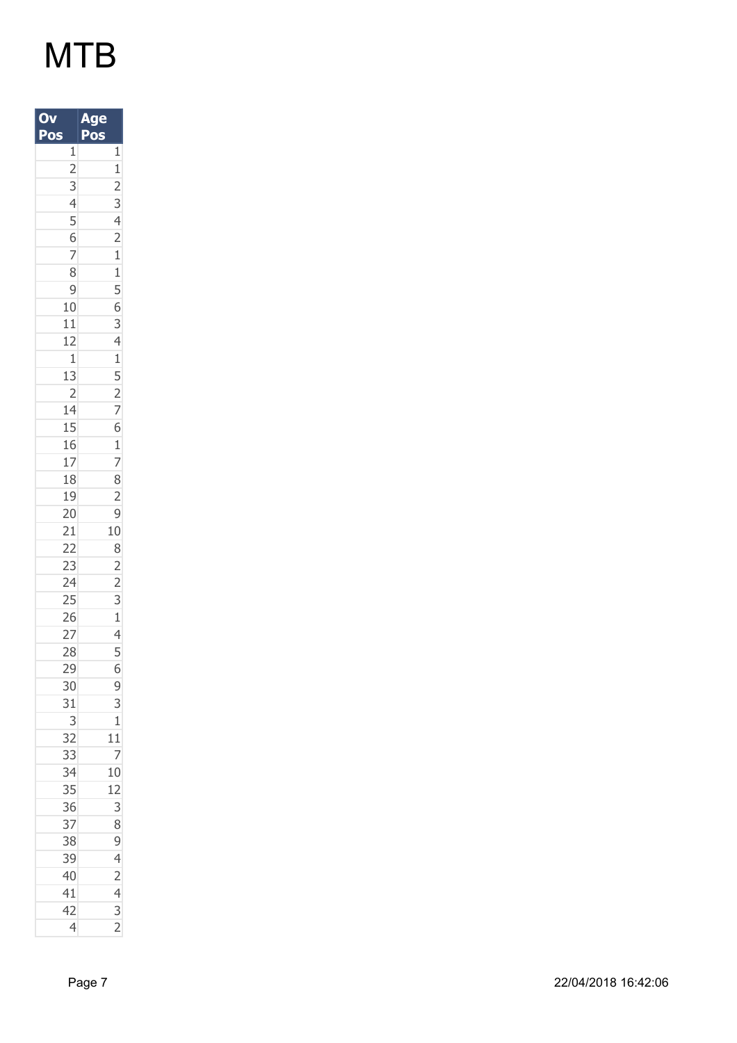| O<br>Pos                                                                                                                               | A<br>e<br>Pos                                                                                                                                                                                                                                 |
|----------------------------------------------------------------------------------------------------------------------------------------|-----------------------------------------------------------------------------------------------------------------------------------------------------------------------------------------------------------------------------------------------|
| $\begin{array}{c c} 1 & 2 & 3 \\ \hline 2 & 3 & 4 \\ \hline 4 & 5 & 6 \\ \hline 7 & 8 & 9 \\ \hline 10 & 10 & 1 \\ \hline \end{array}$ |                                                                                                                                                                                                                                               |
|                                                                                                                                        |                                                                                                                                                                                                                                               |
|                                                                                                                                        |                                                                                                                                                                                                                                               |
|                                                                                                                                        |                                                                                                                                                                                                                                               |
|                                                                                                                                        |                                                                                                                                                                                                                                               |
|                                                                                                                                        |                                                                                                                                                                                                                                               |
|                                                                                                                                        |                                                                                                                                                                                                                                               |
|                                                                                                                                        |                                                                                                                                                                                                                                               |
|                                                                                                                                        |                                                                                                                                                                                                                                               |
|                                                                                                                                        |                                                                                                                                                                                                                                               |
|                                                                                                                                        |                                                                                                                                                                                                                                               |
|                                                                                                                                        |                                                                                                                                                                                                                                               |
|                                                                                                                                        |                                                                                                                                                                                                                                               |
|                                                                                                                                        |                                                                                                                                                                                                                                               |
|                                                                                                                                        |                                                                                                                                                                                                                                               |
| $\frac{11}{12}$<br>$\frac{1}{13}$<br>$\frac{2}{14}$                                                                                    |                                                                                                                                                                                                                                               |
| 15                                                                                                                                     |                                                                                                                                                                                                                                               |
|                                                                                                                                        |                                                                                                                                                                                                                                               |
| $\frac{16}{17}$<br>$\frac{17}{18}$                                                                                                     |                                                                                                                                                                                                                                               |
|                                                                                                                                        |                                                                                                                                                                                                                                               |
| 19 20 21 22 23 24 25 26 27                                                                                                             | $\frac{1}{1}$ $\frac{1}{2}$ $\frac{2}{3}$ $\frac{3}{4}$ $\frac{4}{2}$ $\frac{1}{1}$ $\frac{5}{5}$ $\frac{6}{3}$ $\frac{3}{4}$ $\frac{4}{1}$ $\frac{5}{5}$ $\frac{2}{7}$ $\frac{7}{6}$ $\frac{8}{2}$ $\frac{2}{9}$ $\frac{3}{1}$ $\frac{1}{4}$ |
|                                                                                                                                        |                                                                                                                                                                                                                                               |
|                                                                                                                                        |                                                                                                                                                                                                                                               |
|                                                                                                                                        |                                                                                                                                                                                                                                               |
|                                                                                                                                        |                                                                                                                                                                                                                                               |
|                                                                                                                                        |                                                                                                                                                                                                                                               |
|                                                                                                                                        |                                                                                                                                                                                                                                               |
|                                                                                                                                        |                                                                                                                                                                                                                                               |
|                                                                                                                                        |                                                                                                                                                                                                                                               |
| 28                                                                                                                                     |                                                                                                                                                                                                                                               |
| 29                                                                                                                                     | 6                                                                                                                                                                                                                                             |
| 30                                                                                                                                     |                                                                                                                                                                                                                                               |
| 31                                                                                                                                     | $\frac{9}{3}$                                                                                                                                                                                                                                 |
| $\overline{3}$                                                                                                                         | $\begin{array}{c}\n1 \\ 11 \\ 7 \\ 10\n\end{array}$                                                                                                                                                                                           |
| $\overline{32}$                                                                                                                        |                                                                                                                                                                                                                                               |
| 33                                                                                                                                     |                                                                                                                                                                                                                                               |
| 34                                                                                                                                     |                                                                                                                                                                                                                                               |
| 35                                                                                                                                     | 12                                                                                                                                                                                                                                            |
| 36                                                                                                                                     |                                                                                                                                                                                                                                               |
|                                                                                                                                        |                                                                                                                                                                                                                                               |
| 37<br>38<br>39                                                                                                                         |                                                                                                                                                                                                                                               |
|                                                                                                                                        |                                                                                                                                                                                                                                               |
| $\frac{40}{41}$                                                                                                                        | $\frac{38942432}{$                                                                                                                                                                                                                            |
|                                                                                                                                        |                                                                                                                                                                                                                                               |
| 42                                                                                                                                     |                                                                                                                                                                                                                                               |
| 4                                                                                                                                      |                                                                                                                                                                                                                                               |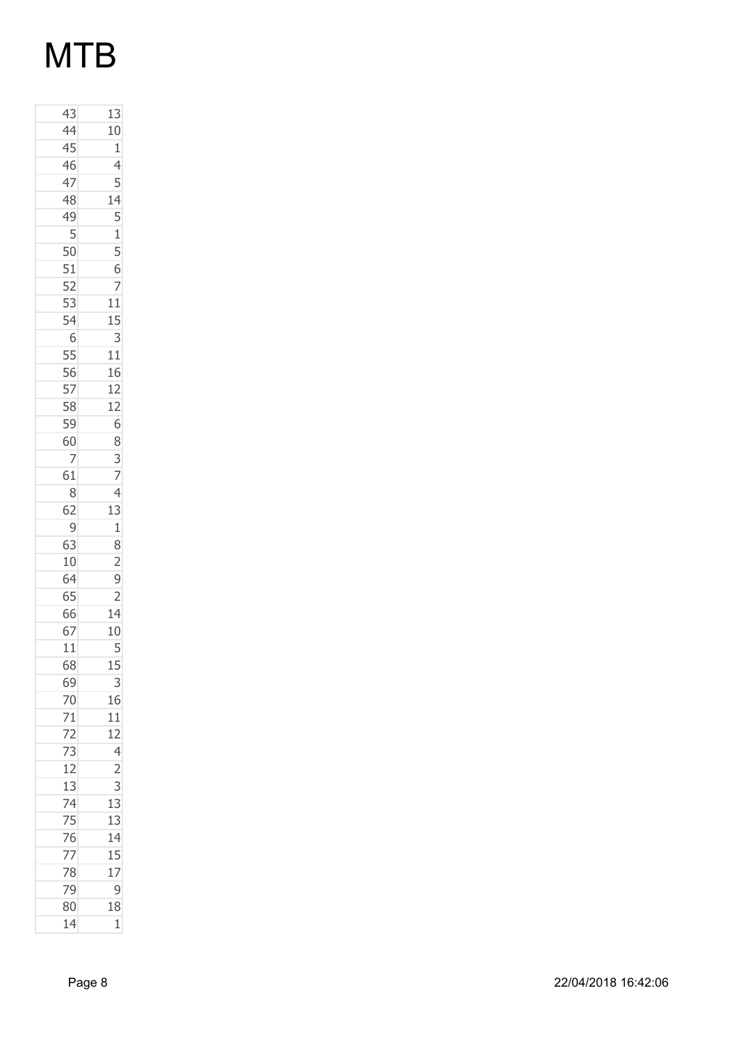| 43                                 | 13                                               |
|------------------------------------|--------------------------------------------------|
| 44                                 | 10                                               |
| 45                                 | $\mathbf{1}$                                     |
| 46                                 | $\overline{4}$                                   |
| 47                                 | $\overline{5}$                                   |
| 48                                 |                                                  |
| 49                                 |                                                  |
| 5                                  |                                                  |
| 50                                 | $\frac{14}{5}$<br>$\frac{5}{5}$<br>$\frac{6}{7}$ |
| 51                                 |                                                  |
| 52                                 |                                                  |
| $\frac{1}{53}$                     | 11                                               |
|                                    | 15                                               |
| 6                                  | 3                                                |
| 55                                 | 11                                               |
| 56                                 | 16                                               |
| 57                                 | 12                                               |
| 58                                 | 12                                               |
| 59                                 | $\overline{6}$                                   |
| 60                                 | 8                                                |
| 7                                  |                                                  |
| 61                                 |                                                  |
| 8                                  | $\frac{3}{7}$                                    |
| 62                                 | 13                                               |
| $\overline{9}$                     | $\overline{1}$                                   |
| 63                                 | 8                                                |
| 10                                 | $\overline{c}$                                   |
| $\overline{64}$                    | $\overline{9}$                                   |
| 65                                 | $\overline{2}$                                   |
| 66                                 |                                                  |
| 67                                 | $\frac{14}{10}$                                  |
| 11                                 | 5                                                |
| 68                                 | 15                                               |
| 69                                 | 3                                                |
|                                    | 16                                               |
|                                    | 11                                               |
| $\frac{70}{71}$<br>$\frac{72}{73}$ |                                                  |
|                                    |                                                  |
| 12                                 |                                                  |
|                                    | $\begin{array}{r} 12 \\ 4 \\ 2 \\ 3 \end{array}$ |
| 13<br>74<br>75<br>76<br>77<br>78   | $\overline{13}$                                  |
|                                    | 13                                               |
|                                    | 14                                               |
|                                    | 15                                               |
|                                    | 17                                               |
| 79                                 | 9                                                |
| 80                                 | 18                                               |
| 14                                 | 1                                                |
|                                    |                                                  |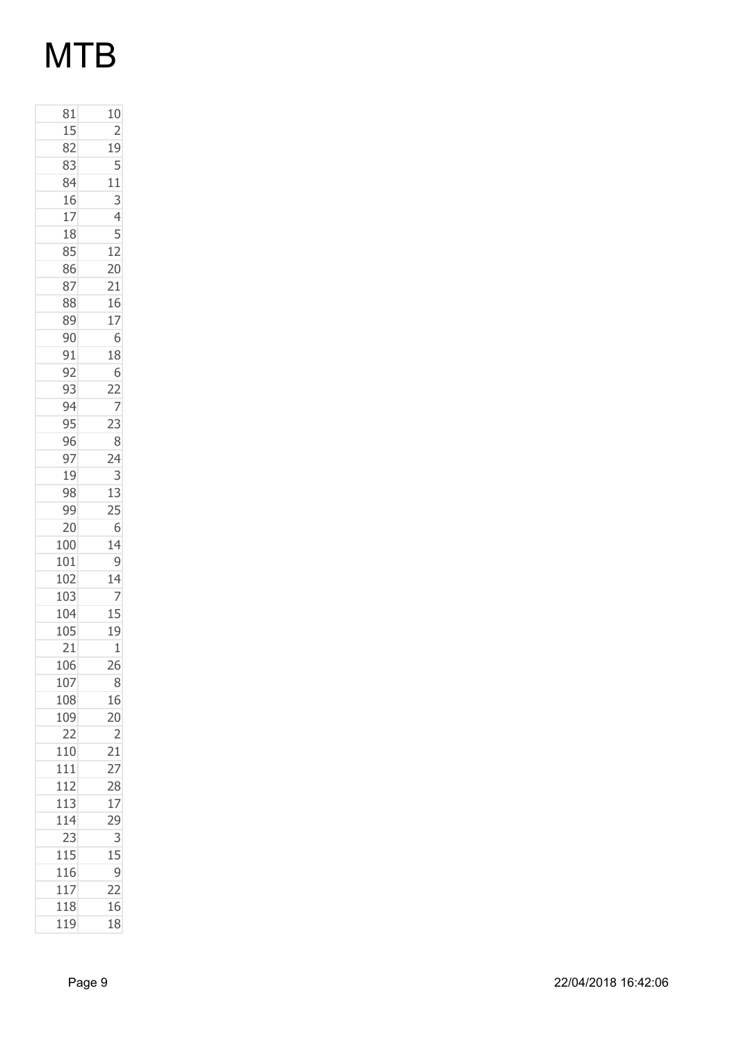| 10              |
|-----------------|
| $\overline{c}$  |
| 19              |
| 5               |
| 11              |
| 3               |
| 4               |
| 5               |
| 12              |
| $\overline{20}$ |
| $\overline{21}$ |
| 16              |
| 17              |
| 6               |
| 18              |
| 6               |
| $\overline{22}$ |
| 7               |
| 23              |
| 8               |
| 24              |
| 3               |
| 13              |
| 25              |
| 6               |
| 14              |
| 9               |
| 14              |
| $\overline{z}$  |
| 15              |
| 19              |
| $\mathbf 1$     |
| 26              |
| 8               |
| 16              |
| 20              |
| $\overline{c}$  |
| $\overline{21}$ |
| $\overline{27}$ |
| 28              |
| 17              |
| 29              |
| 3               |
| 15              |
| 9               |
| 22              |
| 16              |
| 18              |
|                 |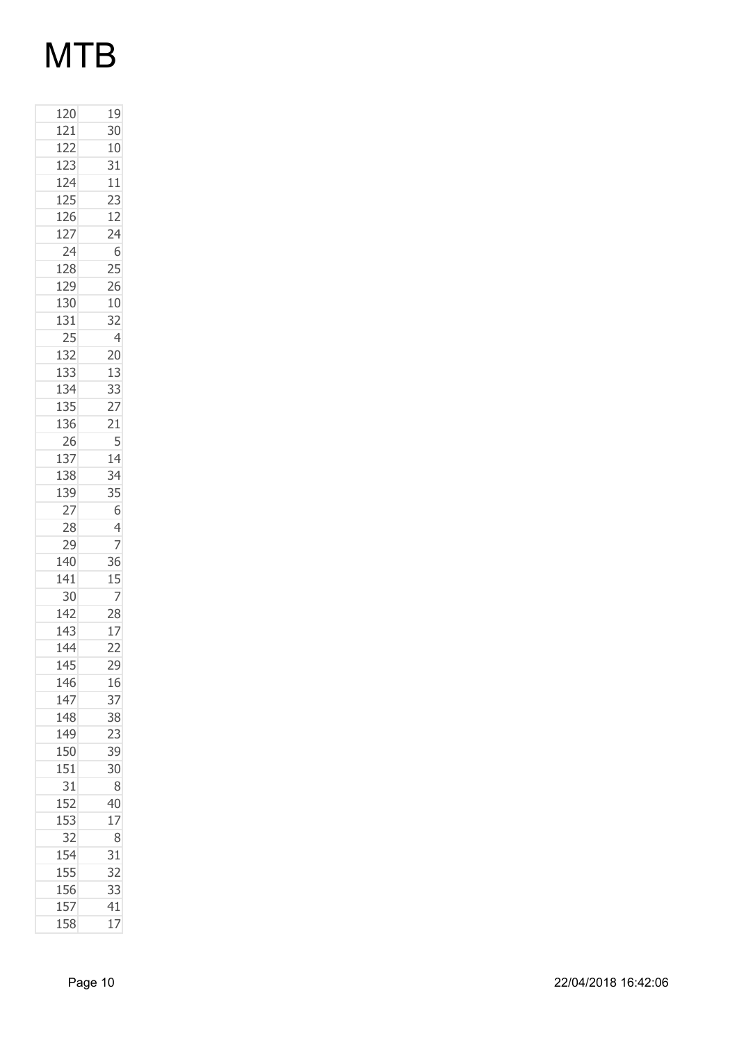| 120 | 19              |
|-----|-----------------|
| 121 | 30              |
| 122 | 10              |
| 123 | 31              |
| 124 | 11              |
| 125 | 23              |
| 126 | 12              |
| 127 | 24              |
| 24  | 6               |
| 128 | 25              |
| 129 | 26              |
| 130 | 10              |
| 131 | 32              |
| 25  | $\overline{4}$  |
| 132 | 20              |
| 133 | 13              |
| 134 | 33              |
| 135 | 27              |
| 136 | 21              |
| 26  | 5               |
| 137 | 14              |
| 138 | 34              |
| 139 | 35              |
| 27  | 6               |
| 28  | $\overline{4}$  |
| 29  | 7               |
| 140 | 36              |
| 141 | 15              |
| 30  | 7               |
| 142 | 28              |
| 143 | 17              |
| 144 | $\overline{22}$ |
| 145 | 29              |
| 146 | 16              |
| 147 | 37              |
| 148 | 38              |
| 149 | 23              |
| 150 | 39              |
| 151 | 30              |
| 31  | 8               |
| 152 | 40              |
| 153 | 17              |
| 32  | 8               |
| 154 | 31              |
| 155 | 32              |
| 156 | 33              |
| 157 | 41              |
| 158 | 17              |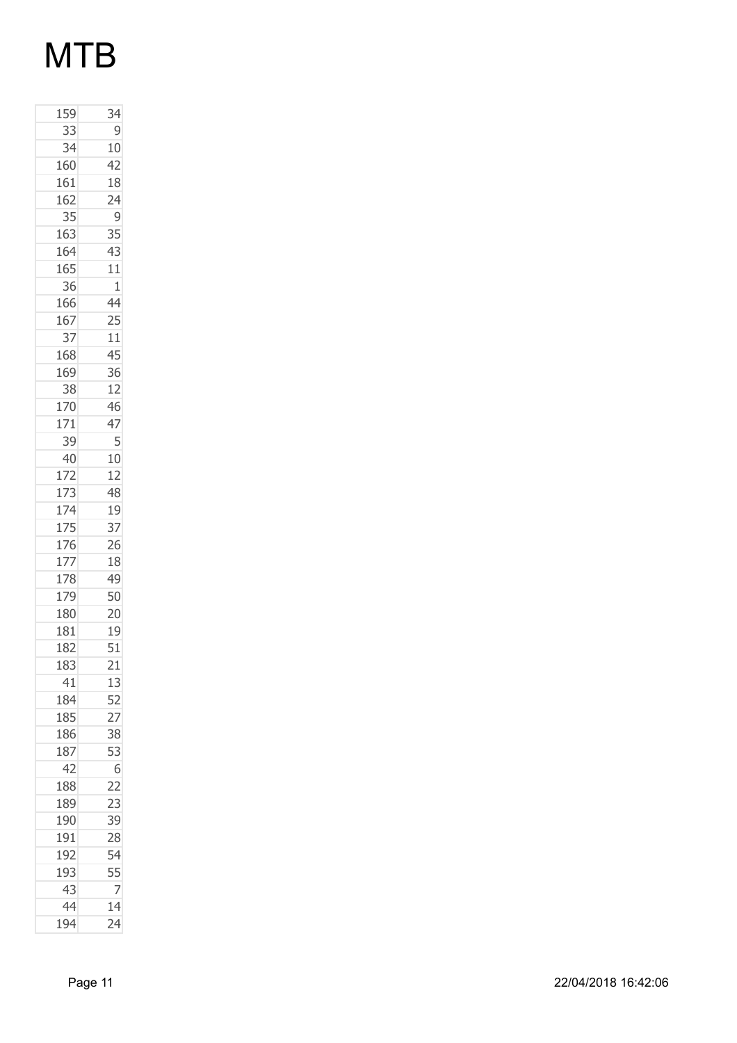| 159        | 34              |
|------------|-----------------|
| 33         | 9               |
| 34         | 10              |
| 160        | 42              |
| 161        | 18              |
| 162        | 24              |
| 35         | 9               |
| 163        | 35              |
| 164        | 43              |
| 165        | 11              |
| 36         | $\overline{1}$  |
| 166        | 44              |
| 167        | 25              |
| 37         | 11              |
| 168        | 45              |
| 169        | 36              |
| 38         | 12              |
| 170        | 46              |
| 171        | 47              |
| 39         | 5               |
| 40         | 10              |
| 172        | 12              |
| 173        | 48              |
|            |                 |
| 174<br>175 | 19<br>37        |
| 176        | 26              |
|            |                 |
| 177        | 18              |
| 178<br>179 | 49<br>50        |
| 180        |                 |
|            | 20              |
| 181        | 19              |
| 182        | 51              |
| 183        | 21              |
| 41         | 13              |
| 184        | 52              |
| 185        | $\overline{27}$ |
| 186        | 38              |
| 187        | 53              |
| 42         | 6               |
| 188        | $\overline{22}$ |
| 189        | 23              |
| 190        | 39              |
| 191        | 28              |
| 192        | 54              |
| 193        | 55              |
| 43         | 7               |
| 44         | 14              |
| 194        | 24              |